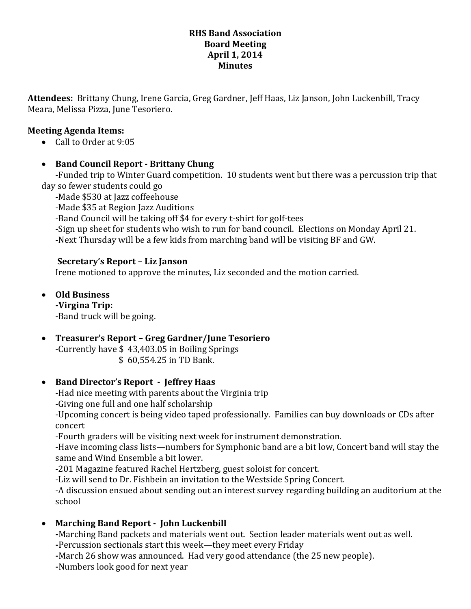## **RHS Band Association Board Meeting April 1, 2014 Minutes**

**Attendees:** Brittany Chung, Irene Garcia, Greg Gardner, Jeff Haas, Liz Janson, John Luckenbill, Tracy Meara, Melissa Pizza, June Tesoriero.

# **Meeting Agenda Items:**

• Call to Order at 9:05

# **Band Council Report - Brittany Chung**

-Funded trip to Winter Guard competition. 10 students went but there was a percussion trip that day so fewer students could go

-Made \$530 at Jazz coffeehouse

-Made \$35 at Region Jazz Auditions

-Band Council will be taking off \$4 for every t-shirt for golf-tees

-Sign up sheet for students who wish to run for band council. Elections on Monday April 21.

-Next Thursday will be a few kids from marching band will be visiting BF and GW.

## **Secretary's Report – Liz Janson**

Irene motioned to approve the minutes, Liz seconded and the motion carried.

 **Old Business -Virgina Trip:** 

-Band truck will be going.

 **Treasurer's Report – Greg Gardner/June Tesoriero** -Currently have \$ 43,403.05 in Boiling Springs

\$ 60,554.25 in TD Bank.

# **Band Director's Report - Jeffrey Haas**

-Had nice meeting with parents about the Virginia trip -Giving one full and one half scholarship

-Upcoming concert is being video taped professionally. Families can buy downloads or CDs after concert

-Fourth graders will be visiting next week for instrument demonstration.

-Have incoming class lists—numbers for Symphonic band are a bit low, Concert band will stay the same and Wind Ensemble a bit lower.

-201 Magazine featured Rachel Hertzberg, guest soloist for concert.

-Liz will send to Dr. Fishbein an invitation to the Westside Spring Concert.

-A discussion ensued about sending out an interest survey regarding building an auditorium at the school

# **Marching Band Report - John Luckenbill**

**-**Marching Band packets and materials went out. Section leader materials went out as well.

**-**Percussion sectionals start this week—they meet every Friday

**-**March 26 show was announced. Had very good attendance (the 25 new people).

**-**Numbers look good for next year